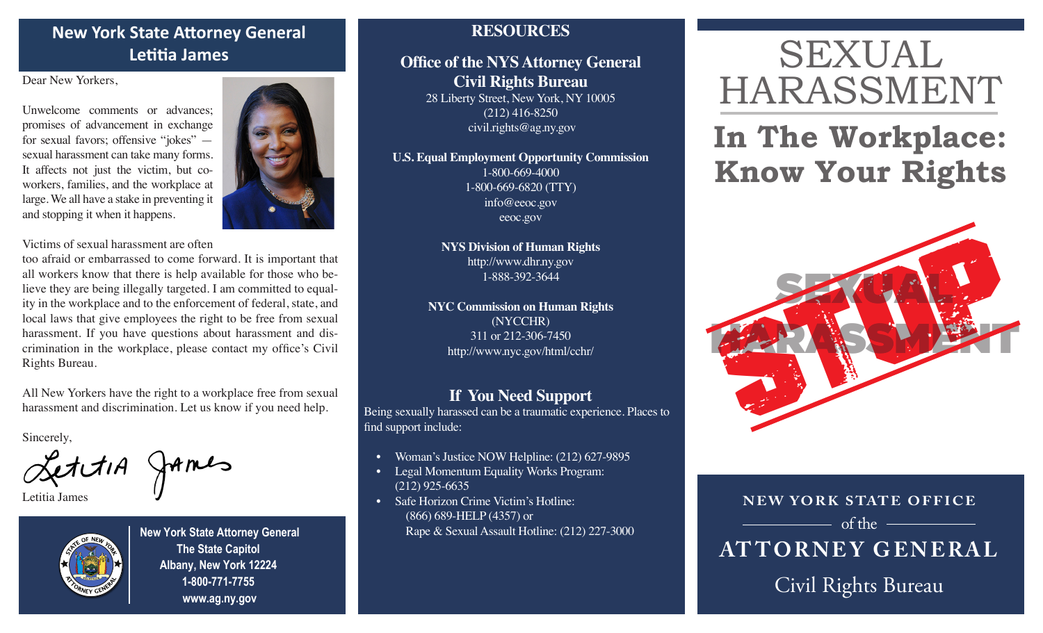# **New York State Attorney General Letitia James**

Dear New Yorkers,

Unwelcome comments or advances; promises of advancement in exchange for sexual favors; offensive "jokes" sexual harassment can take many forms. It affects not just the victim, but coworkers, families, and the workplace at large. We all have a stake in preventing it and stopping it when it happens.



Victims of sexual harassment are often

too afraid or embarrassed to come forward. It is important that all workers know that there is help available for those who believe they are being illegally targeted. I am committed to equality in the workplace and to the enforcement of federal, state, and local laws that give employees the right to be free from sexual harassment. If you have questions about harassment and discrimination in the workplace, please contact my office's Civil Rights Bureau.

All New Yorkers have the right to a workplace free from sexual harassment and discrimination. Let us know if you need help.

Sincerely,

LettiA James

Letitia James



**New York State Attorney General The State Capitol Albany, New York 12224 1-800-771-7755 www.ag.ny.gov**

# **RESOURCES**

# **Office of the NYS Attorney General Civil Rights Bureau** 28 Liberty Street, New York, NY 10005

(212) 416-8250 civil.rights@ag.ny.gov

**U.S. Equal Employment Opportunity Commission** 1-800-669-4000 1-800-669-6820 (TTY) info@eeoc.gov eeoc.gov

> **NYS Division of Human Rights**  http://www.dhr.ny.gov 1-888-392-3644

**NYC Commission on Human Rights**  (NYCCHR) 311 or 212-306-7450 http://www.nyc.gov/html/cchr/

# **If You Need Support**

Being sexually harassed can be a traumatic experience. Places to find support include:

- Woman's Justice NOW Helpline: (212) 627-9895
- Legal Momentum Equality Works Program: (212) 925-6635
- Safe Horizon Crime Victim's Hotline: (866) 689-HELP (4357) or Rape & Sexual Assault Hotline: (212) 227-3000

# SEXUAL HARASSMENT

# **In The Workplace: Know Your Rights**



Civil Rights Bureau **NEW YORK STATE OFFICE AT TORNE Y GENERAL**  $\overline{\phantom{a}}$  of the  $\overline{\phantom{a}}$